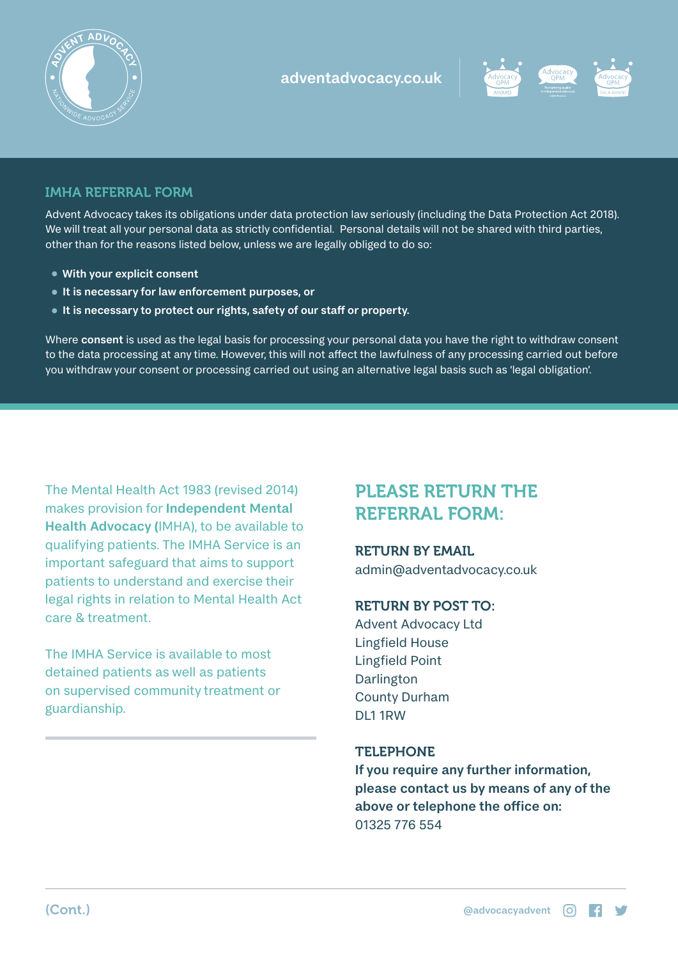



# IMHA REFERRAL FORM

Advent Advocacy takes its obligations under data protection law seriously (including the Data Protection Act 2018). We will treat all your personal data as strictly confidential. Personal details will not be shared with third parties, other than for the reasons listed below, unless we are legally obliged to do so:

- With your explicit consent
- It is necessary for law enforcement purposes, or
- It is necessary to protect our rights, safety of our staff or property.

Where consent is used as the legal basis for processing your personal data you have the right to withdraw consent to the data processing at any time. However, this will not affect the lawfulness of any processing carried out before you withdraw your consent or processing carried out using an alternative legal basis such as 'legal obligation'.

The Mental Health Act 1983 (revised 2014) makes provision for Independent Mental Health Advocacy (IMHA), to be available to qualifying patients. The IMHA Service is an important safeguard that aims to support patients to understand and exercise their legal rights in relation to Mental Health Act care & treatment.

The IMHA Service is available to most detained patients as well as patients on supervised community treatment or guardianship.

# PLEASE RETURN THE REFERRAL FORM:

# RETURN BY EMAIL

admin@adventadvocacy.co.uk

# RETURN BY POST TO:

Advent Advocacy Ltd Lingfield House Lingfield Point Darlington County Durham DL1 1RW

### **TELEPHONE**

If you require any further information, please contact us by means of any of the above or telephone the office on: 01325 776 554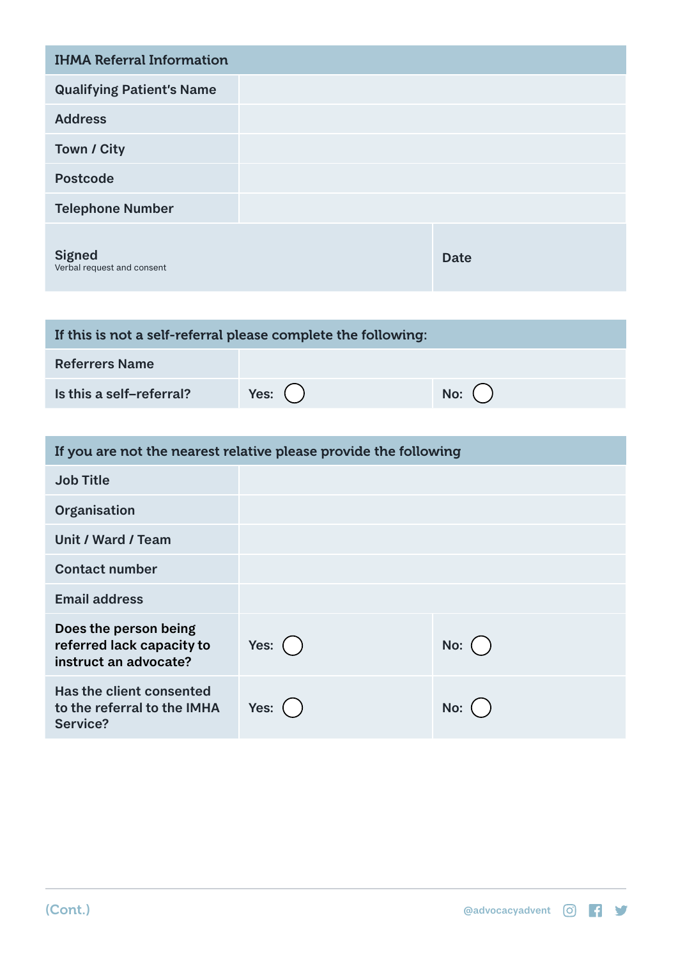| <b>IHMA Referral Information</b>            |             |
|---------------------------------------------|-------------|
| <b>Qualifying Patient's Name</b>            |             |
| <b>Address</b>                              |             |
| Town / City                                 |             |
| <b>Postcode</b>                             |             |
| <b>Telephone Number</b>                     |             |
| <b>Signed</b><br>Verbal request and consent | <b>Date</b> |

| If this is not a self-referral please complete the following: |            |         |  |  |
|---------------------------------------------------------------|------------|---------|--|--|
| <b>Referrers Name</b>                                         |            |         |  |  |
| Is this a self-referral?                                      | Yes: $( )$ | No: $($ |  |  |

| If you are not the nearest relative please provide the following            |            |             |  |  |
|-----------------------------------------------------------------------------|------------|-------------|--|--|
| <b>Job Title</b>                                                            |            |             |  |  |
| Organisation                                                                |            |             |  |  |
| Unit / Ward / Team                                                          |            |             |  |  |
| <b>Contact number</b>                                                       |            |             |  |  |
| <b>Email address</b>                                                        |            |             |  |  |
| Does the person being<br>referred lack capacity to<br>instruct an advocate? | Yes: $( )$ | No: $($ $)$ |  |  |
| Has the client consented<br>to the referral to the IMHA<br>Service?         | Yes:       | No:         |  |  |